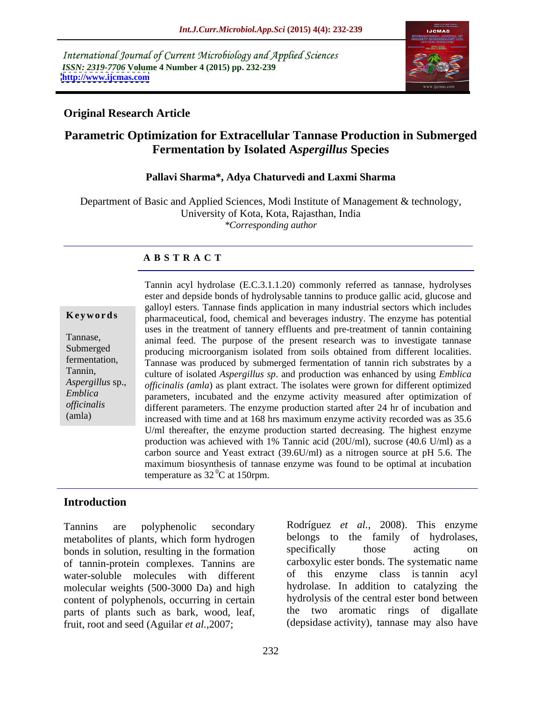International Journal of Current Microbiology and Applied Sciences *ISSN: 2319-7706* **Volume 4 Number 4 (2015) pp. 232-239 <http://www.ijcmas.com>**



### **Original Research Article**

# **Parametric Optimization for Extracellular Tannase Production in Submerged Fermentation by Isolated A***spergillus* **Species**

### **Pallavi Sharma\*, Adya Chaturvedi and Laxmi Sharma**

Department of Basic and Applied Sciences, Modi Institute of Management & technology, University of Kota, Kota, Rajasthan, India *\*Corresponding author*

### **A B S T R A C T**

(amla)

Tannin acyl hydrolase (E.C.3.1.1.20) commonly referred as tannase*,* hydrolyses ester and depside bonds of hydrolysable tannins to produce gallic acid, glucose and galloyl esters. Tannase finds application in many industrial sectors which includes **Keywords** pharmaceutical, food, chemical and beverages industry. The enzyme has potential uses in the treatment of tannery effluents and pre-treatment of tannin containing animal feed. The purpose of the present research was to investigate tannase Tannase, Submerged producing microorganism isolated from soils obtained from different localities. fermentation, Tannase was produced by submerged fermentation of tannin rich substrates by a culture of isolated *Aspergillus sp*. and production was enhanced by using *Emblica*  Tannin, Aspergillus sp., officinalis (amla) as plant extract. The isolates were grown for different optimized parameters, incubated and the enzyme activity measured after optimization of *Emblica*  different parameters. The enzyme production started after 24 hr of incubation and *officinalis* increased with time and at 168 hrs maximum enzyme activity recorded was as 35.6 U/ml thereafter, the enzyme production started decreasing. The highest enzyme production was achieved with 1% Tannic acid (20U/ml), sucrose (40.6 U/ml) as a carbon source and Yeast extract (39.6U/ml) as a nitrogen source at pH 5.6. The maximum biosynthesis of tannase enzyme was found to be optimal at incubation temperature as  $32<sup>0</sup>C$  at 150rpm.

## **Introduction**

metabolites of plants, which form hydrogen<br>
heads in solution resulting in the formation<br>
specifically<br>
those acting on bonds in solution, resulting in the formation specifically those acting on of tannin-protein complexes. Tannins are water-soluble molecules with different molecular weights (500-3000 Da) and high content of polyphenols, occurring in certain parts of plants such as bark, wood, leaf, fruit, root and seed (Aguilar *et al.,*2007;

Tannins are polyphenolic secondary Rodríguez *et al.*, 2008). This enzyme belongs to the family of hydrolases,<br>specifically those acting on carboxylic ester bonds. The systematic name of this enzyme class is tannin acyl hydrolase. In addition to catalyzing the hydrolysis of the central ester bond between the two aromatic rings of digallate (depsidase activity), tannase may also have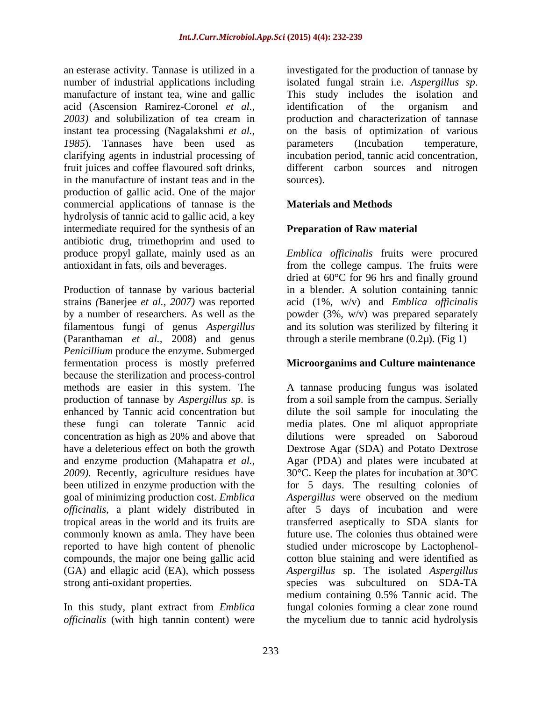number of industrial applications including isolated fungal strain i.e. Aspergillus sp. manufacture of instant tea, wine and gallic This study includes the isolation and acid (Ascension Ramirez-Coronel *et al.,* instant tea processing (Nagalakshmi *et al.,* 1985). Tannases have been used as parameters (Incubation temperature, in the manufacture of instant teas and in the production of gallic acid. One of the major commercial applications of tannase is the hydrolysis of tannic acid to gallic acid, a key intermediate required for the synthesis of an antibiotic drug, trimethoprim and used to produce propyl gallate, mainly used as an *Emblica officinalis* fruits were procured antioxidant in fats, oils and beverages. from the college campus. The fruits were

Production of tannase by various bacterial strains *(*Banerjee *et al., 2007)* was reported acid (1%, w/v) and *Emblica of icinalis* by a number of researchers. As well as the filamentous fungi of genus *Aspergillus* (Paranthaman *et al.,* 2008) and genus *Penicillium* produce the enzyme. Submerged fermentation process is mostly preferred because the sterilization and process-control goal of minimizing production cost. *Emblica officinalis*, a plant widely distributed in tropical areas in the world and its fruits are reported to have high content of phenolic

In this study, plant extract from *Emblica officinalis* (with high tannin content) were the mycelium due to tannic acid hydrolysis

an esterase activity. Tannase is utilized in a investigated for the production of tannase by *2003)* and solubilization of tea cream in production and characterization of tannase clarifying agents in industrial processing of incubation period, tannic acid concentration, fruit juices and coffee flavoured soft drinks, different carbon sources and nitrogen isolated fungal strain i.e. *Aspergillus sp*. This study includes the isolation and identification of the organism and on the basis of optimization of various parameters (Incubation temperature, sources).

### **Materials and Methods**

### **Preparation of Raw material**

dried at 60°C for 96 hrs and finally ground in a blender. A solution containing tannic powder (3%, w/v) was prepared separately and its solution was sterilized by filtering it through a sterile membrane  $(0.2\mu)$ . (Fig 1)

### **Microorganims and Culture maintenance**

methods are easier in this system. The A tannase producing fungus was isolated production of tannase by *Aspergillus sp*. is from a soil sample from the campus. Serially enhanced by Tannic acid concentration but dilute the soil sample for inoculating the these fungi can tolerate Tannic acid media plates. One ml aliquot appropriate concentration as high as 20% and above that dilutions were spreaded on Saboroud have a deleterious effect on both the growth Dextrose Agar (SDA) and Potato Dextrose and enzyme production (Mahapatra *et al.,* Agar (PDA) and plates were incubated at *2009).* Recently, agriculture residues have 30°C. Keep the plates for incubation at 30ºC been utilized in enzyme production with the for 5 days. The resulting colonies of tropical areas in the world and its fruits are transferred aseptically to SDA slants for commonly known as amla. They have been future use. The colonies thus obtained were compounds, the major one being gallic acid cotton blue staining and were identified as (GA) and ellagic acid (EA), which possess *Aspergillus* sp. The isolated *Aspergillus*  strong anti-oxidant properties. *s*pecies was subcultured on SDA-TA *Aspergillus* were observed on the medium after 5 days of incubation and were studied under microscope by Lactophenol medium containing 0.5% Tannic acid. The fungal colonies forming a clear zone round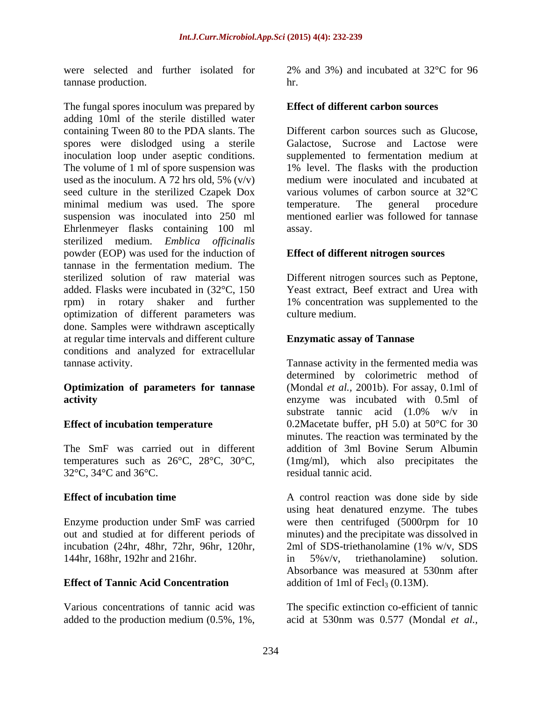were selected and further isolated for 2% and 3%) and incubated at 32°C for 96 tannase production.

The fungal spores inoculum was prepared by adding 10ml of the sterile distilled water containing Tween 80 to the PDA slants. The spores were dislodged using a sterile inoculation loop under aseptic conditions. supplemented to fermentation medium at The volume of 1 ml of spore suspension was used as the inoculum. A 72 hrs old, 5%  $(v/v)$ seed culture in the sterilized Czapek Dox various volumes of carbon source at 32 °C minimal medium was used. The spore temperature. The general procedure suspension was inoculated into 250 ml Ehrlenmeyer flasks containing 100 ml sterilized medium. *Emblica officinalis* powder (EOP) was used for the induction of tannase in the fermentation medium. The sterilized solution of raw material was Different nitrogen sources such as Peptone, added. Flasks were incubated in (32°C, 150 Yeast extract, Beef extract and Urea with rpm) in rotary shaker and further 1% concentration was supplemented to the optimization of different parameters was done. Samples were withdrawn asceptically at regular time intervals and different culture conditions and analyzed for extracellular tannase activity. Tannase activity in the fermented media was

The SmF was carried out in different addition of 3ml Bovine Serum Albumin 32°C, 34°C and 36°C.

Enzyme production under SmF was carried were then centrifuged (5000rpm for 10 out and studied at for different periods of minutes) and the precipitate was dissolved in incubation (24hr, 48hr, 72hr, 96hr, 120hr, 144hr, 168hr, 192hr and 216hr. **and 11** in 5% v/v, triethanolamine) solution.

Various concentrations of tannic acid was The specific extinction co-efficient of tannic added to the production medium  $(0.5\%, 1\%, \cdot \cdot \cdot)$  acid at 530nm was 0.577 (Mondal *et al.*,

hr.

### **Effect of different carbon sources**

Different carbon sources such as Glucose, Galactose, Sucrose and Lactose were 1% level. The flasks with the production medium were inoculated and incubated at various volumes of carbon source at 32°C temperature. The general procedure mentioned earlier was followed for tannase assay.

### **Effect of different nitrogen sources**

culture medium.

### **Enzymatic assay of Tannase**

**Optimization of parameters for tannase** (Mondal *et al.,* 2001b). For assay, 0.1ml of **activity** enzyme was incubated with 0.5ml of **Effect of incubation temperature** 0.2Macetate buffer, pH 5.0) at 50°C for 30 temperatures such as  $26^{\circ}C$ ,  $28^{\circ}C$ ,  $30^{\circ}C$ , (1mg/ml), which also precipitates the determined by colorimetric method of substrate tannic acid (1.0% w/v in minutes. The reaction was terminated by the addition of 3ml Bovine Serum Albumin residual tannic acid.

**Effect of incubation time** A control reaction was done side by side **Effect of Tannic Acid Concentration** addition of 1ml of Fecl<sub>3</sub> (0.13M). using heat denatured enzyme. The tubes 2ml of SDS-triethanolamine (1% w/v, SDS in 5%v/v, triethanolamine) solution. Absorbance was measured at 530nm after

acid at 530nm was 0.577 (Mondal *et al.,*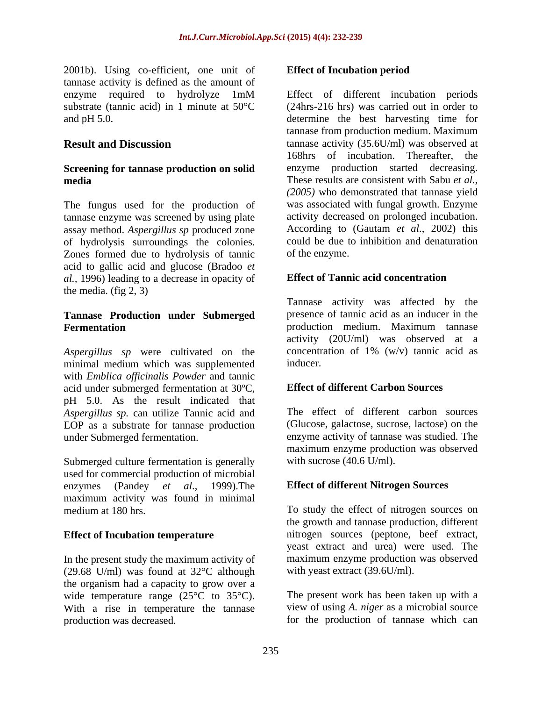2001b). Using co-efficient, one unit of tannase activity is defined as the amount of

# **Screening for tannase production on solid**

The fungus used for the production of tannase enzyme was screened by using plate assay method. *Aspergillus sp* produced zone of hydrolysis surroundings the colonies. Zones formed due to hydrolysis of tannic acid to gallic acid and glucose (Bradoo *et al.,* 1996) leading to a decrease in opacity of the media. (fig 2, 3)

# **Tannase Production under Submerged**

*Aspergillus sp* were cultivated on the minimal medium which was supplemented with *Emblica officinalis Powder* and tannic acid under submerged fermentation at 30ºC, pH 5.0. As the result indicated that *Aspergillus sp.* can utilize Tannic acid and EOP as a substrate for tannase production under Submerged fermentation. enzyme activity of tannase was studied. The

Submerged culture fermentation is generally used for commercial production of microbial enzymes (Pandey *et al*., 1999).The **Effect of different Nitrogen Sources** maximum activity was found in minimal medium at 180 hrs. To study the effect of nitrogen sources on

In the present study the maximum activity of (29.68 U/ml) was found at 32°C although the organism had a capacity to grow over a wide temperature range (25<sup>o</sup>C to 35<sup>o</sup>C). With a rise in temperature the tannase production was decreased. for the production of tannase which can

### **Effect of Incubation period**

enzyme required to hydrolyze 1mM substrate (tannic acid) in 1 minute at 50°C (24hrs-216 hrs) was carried out in order to and pH 5.0. determine the best harvesting time for **Result and Discussion** tannase activity (35.6U/ml) was observed at **media** These results are consistent with Sabu *et al.,* Effect of different incubation periods tannase from production medium. Maximum 168hrs of incubation. Thereafter, the enzyme production started decreasing. *(2005)* who demonstrated that tannase yield was associated with fungal growth. Enzyme activity decreased on prolonged incubation. According to (Gautam *et al*., 2002) this could be due to inhibition and denaturation of the enzyme.

### **Effect of Tannic acid concentration**

**Fermentation** production medium. Maximum tannase Tannase activity was affected by the presence of tannic acid as an inducer in the activity (20U/ml) was observed at a concentration of 1% (w/v) tannic acid as inducer.

### **Effect of different Carbon Sources**

The effect of different carbon sources (Glucose, galactose, sucrose, lactose) on the maximum enzyme production was observed with sucrose  $(40.6 \text{ U/ml})$ .

**Effect of Incubation temperature** hitrogen sources (peptone, beef extract, the growth and tannase production, different yeast extract and urea) were used. The maximum enzyme production was observed with yeast extract (39.6U/ml).

> The present work has been taken up with a view of using *A. niger* as a microbial source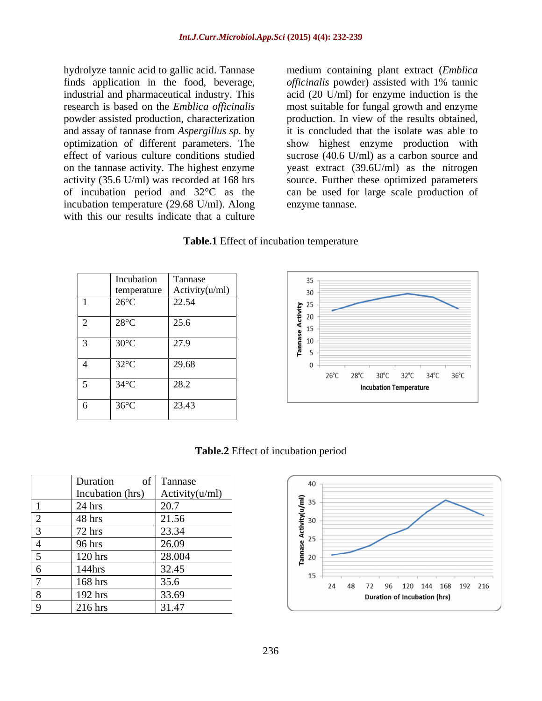and assay of tannase from *Aspergillus sp.* by incubation temperature (29.68 U/ml). Along with this our results indicate that a culture

hydrolyze tannic acid to gallic acid. Tannase medium containing plant extract (*Emblica*  finds application in the food, beverage, *officinalis* powder) assisted with 1% tannic industrial and pharmaceutical industry. This acid (20 U/ml) for enzyme induction is the research is based on the *Emblica officinalis* most suitable for fungal growth and enzyme powder assisted production, characterization production. In view of the results obtained, optimization of different parameters. The show highest enzyme production with effect of various culture conditions studied sucrose (40.6 U/ml) as a carbon source and on the tannase activity. The highest enzyme yeast extract (39.6U/ml) as the nitrogen activity (35.6 U/ml) was recorded at 168 hrs source. Further these optimized parameters of incubation period and 32°C as the can be used for large scale production of it is concluded that the isolate was able to enzyme tannase.

### **Table.1** Effect of incubation temperature

| Incubation<br>temperature | Tannase<br>Activity(u/ml) |
|---------------------------|---------------------------|
| $26^{\circ}$ C            | 22.54                     |
| $28^{\circ}C$             | 25.6                      |
| $30^{\circ}$ C            | 27.9                      |
| $32^{\circ}$ C            | 29.68                     |
| $34^{\circ}$ C            | 28.2                      |
| $36^{\circ}$ C            | 23.43                     |



**Table.2** Effect of incubation period

|                | Duration<br>of   | Tannase        |
|----------------|------------------|----------------|
|                | Incubation (hrs) | Activity(u/ml) |
| 1              | 24 hrs           | 20.7           |
| $\overline{2}$ | 48 hrs           | 21.56          |
| 3              | $72$ hrs         | 23.34          |
| 4              | 96 hrs           | 26.09          |
| 5              | 120 hrs          | 28.004         |
| 6              | 144hrs           | 32.45          |
| 7              | 168 hrs          | 35.6           |
| 8              | 192 hrs          | 33.69          |
| q              | 216 hrs          | 31.47          |

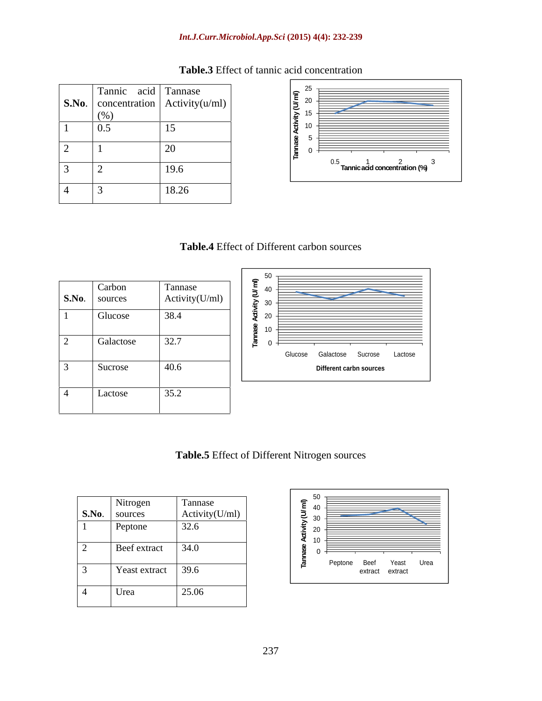### *Int.J.Curr.Microbiol.App.Sci* **(2015) 4(4): 232-239**

|                          | Tannic acid Tannase<br>(% | $\vert$ <b>S.No.</b> $\vert$ concentration $\vert$ Activity(u/ml) $\vert$ | $\mathsf{I} \bullet \mathsf{A}$<br>$\frac{5}{2}$ <sup>20</sup><br>$1 \geq 1$ |  |  |  |
|--------------------------|---------------------------|---------------------------------------------------------------------------|------------------------------------------------------------------------------|--|--|--|
|                          | 0.5                       |                                                                           |                                                                              |  |  |  |
| $\overline{\phantom{0}}$ |                           |                                                                           |                                                                              |  |  |  |
| $\sim$<br>ັ              |                           | 19.6                                                                      | $\widetilde{\phantom{a}}$ Tannic acid concentration (%)                      |  |  |  |
| 4                        |                           | 18.26                                                                     |                                                                              |  |  |  |

## **Table.3** Effect of tannic acid concentration



### **Table.4** Effect of Different carbon sources

| S.No.          | Carbon<br>sources | Tannase<br>Activity(U/ml) |
|----------------|-------------------|---------------------------|
|                | Glucose           | 38.4                      |
| $\overline{2}$ | Galactose         | 32.7                      |
| 3              | Sucrose           | 40.6                      |
|                | Lactose           | 35.2                      |



# **Table.5** Effect of Different Nitrogen sources

| S.No.                    | Nitrogen<br>sources | Tannase<br>Activity(U/ml) |  |
|--------------------------|---------------------|---------------------------|--|
|                          | Peptone             | 32.6                      |  |
| $\overline{2}$           | Beef extract        | 34.0                      |  |
| $\sim$<br>$\mathfrak{I}$ | Yeast extract       | 39.6                      |  |
| 4                        | Urea                | 25.06                     |  |

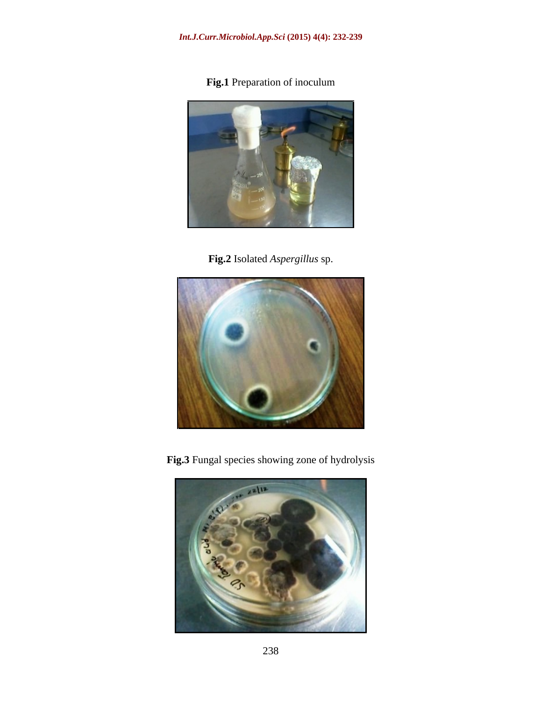**Fig.1** Preparation of inoculum



**Fig.2** Isolated *Aspergillus* sp.



**Fig.3** Fungal species showing zone of hydrolysis